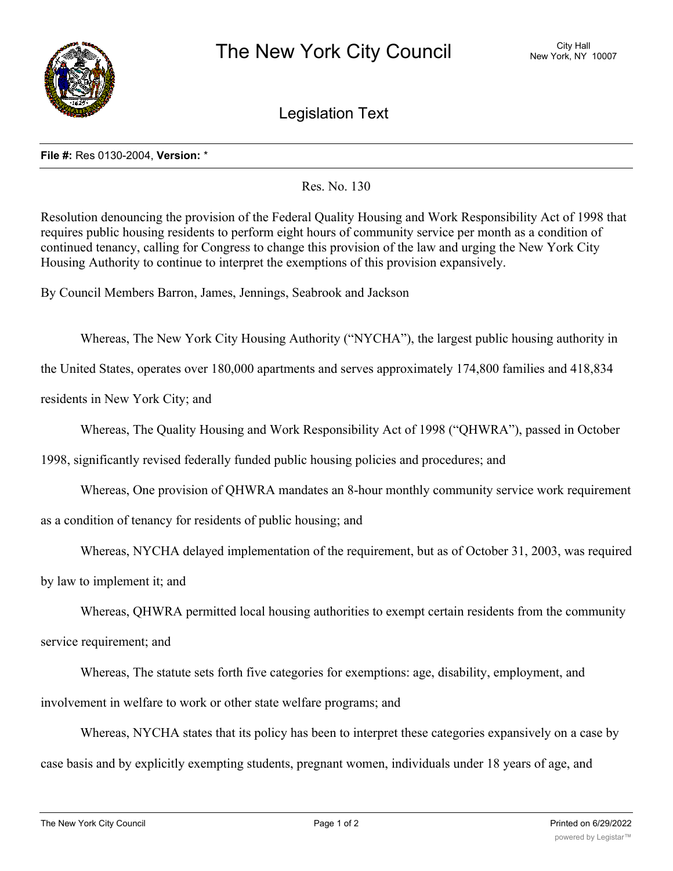

Legislation Text

## **File #:** Res 0130-2004, **Version:** \*

Res. No. 130

Resolution denouncing the provision of the Federal Quality Housing and Work Responsibility Act of 1998 that requires public housing residents to perform eight hours of community service per month as a condition of continued tenancy, calling for Congress to change this provision of the law and urging the New York City Housing Authority to continue to interpret the exemptions of this provision expansively.

By Council Members Barron, James, Jennings, Seabrook and Jackson

Whereas, The New York City Housing Authority ("NYCHA"), the largest public housing authority in

the United States, operates over 180,000 apartments and serves approximately 174,800 families and 418,834

residents in New York City; and

Whereas, The Quality Housing and Work Responsibility Act of 1998 ("QHWRA"), passed in October

1998, significantly revised federally funded public housing policies and procedures; and

Whereas, One provision of QHWRA mandates an 8-hour monthly community service work requirement

as a condition of tenancy for residents of public housing; and

Whereas, NYCHA delayed implementation of the requirement, but as of October 31, 2003, was required

by law to implement it; and

Whereas, QHWRA permitted local housing authorities to exempt certain residents from the community

service requirement; and

Whereas, The statute sets forth five categories for exemptions: age, disability, employment, and involvement in welfare to work or other state welfare programs; and

Whereas, NYCHA states that its policy has been to interpret these categories expansively on a case by case basis and by explicitly exempting students, pregnant women, individuals under 18 years of age, and